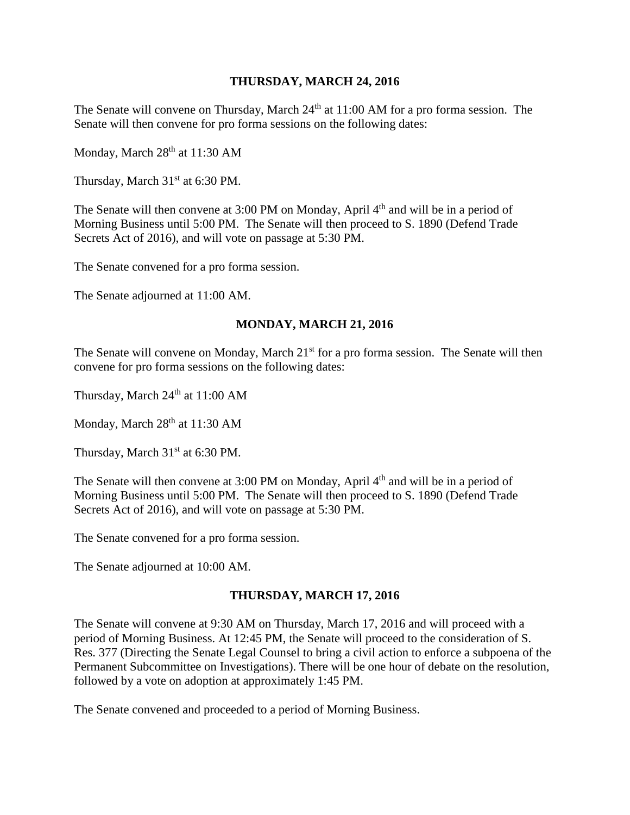#### **THURSDAY, MARCH 24, 2016**

The Senate will convene on Thursday, March  $24<sup>th</sup>$  at 11:00 AM for a pro forma session. The Senate will then convene for pro forma sessions on the following dates:

Monday, March 28<sup>th</sup> at 11:30 AM

Thursday, March  $31<sup>st</sup>$  at 6:30 PM.

The Senate will then convene at 3:00 PM on Monday, April 4<sup>th</sup> and will be in a period of Morning Business until 5:00 PM. The Senate will then proceed to S. 1890 (Defend Trade Secrets Act of 2016), and will vote on passage at 5:30 PM.

The Senate convened for a pro forma session.

The Senate adjourned at 11:00 AM.

#### **MONDAY, MARCH 21, 2016**

The Senate will convene on Monday, March 21<sup>st</sup> for a pro forma session. The Senate will then convene for pro forma sessions on the following dates:

Thursday, March  $24<sup>th</sup>$  at 11:00 AM

Monday, March  $28<sup>th</sup>$  at 11:30 AM

Thursday, March 31<sup>st</sup> at 6:30 PM.

The Senate will then convene at  $3:00 \text{ PM}$  on Monday, April  $4<sup>th</sup>$  and will be in a period of Morning Business until 5:00 PM. The Senate will then proceed to S. 1890 (Defend Trade Secrets Act of 2016), and will vote on passage at 5:30 PM.

The Senate convened for a pro forma session.

The Senate adjourned at 10:00 AM.

## **THURSDAY, MARCH 17, 2016**

The Senate will convene at 9:30 AM on Thursday, March 17, 2016 and will proceed with a period of Morning Business. At 12:45 PM, the Senate will proceed to the consideration of S. Res. 377 (Directing the Senate Legal Counsel to bring a civil action to enforce a subpoena of the Permanent Subcommittee on Investigations). There will be one hour of debate on the resolution, followed by a vote on adoption at approximately 1:45 PM.

The Senate convened and proceeded to a period of Morning Business.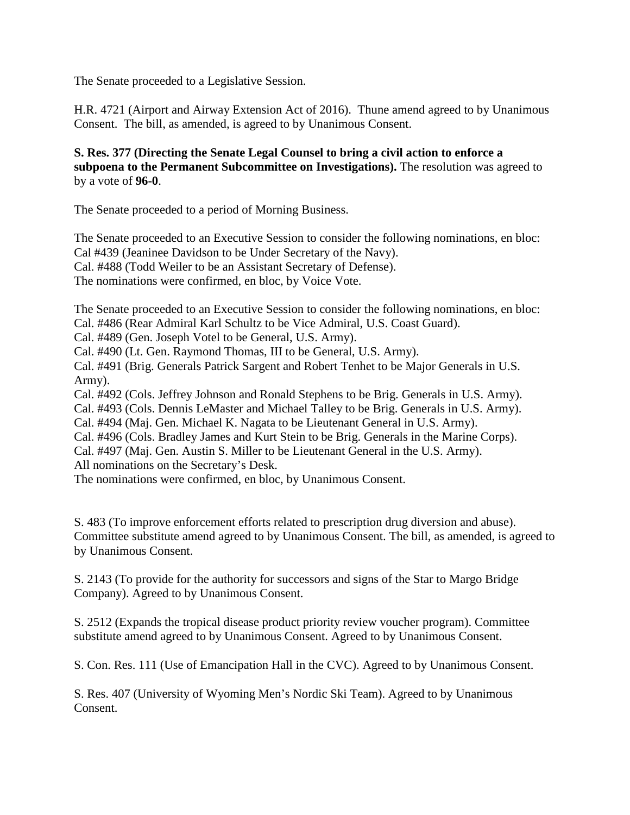The Senate proceeded to a Legislative Session.

H.R. 4721 (Airport and Airway Extension Act of 2016). Thune amend agreed to by Unanimous Consent. The bill, as amended, is agreed to by Unanimous Consent.

**S. Res. 377 (Directing the Senate Legal Counsel to bring a civil action to enforce a subpoena to the Permanent Subcommittee on Investigations).** The resolution was agreed to by a vote of **96-0**.

The Senate proceeded to a period of Morning Business.

The Senate proceeded to an Executive Session to consider the following nominations, en bloc: Cal #439 (Jeaninee Davidson to be Under Secretary of the Navy). Cal. #488 (Todd Weiler to be an Assistant Secretary of Defense). The nominations were confirmed, en bloc, by Voice Vote.

The Senate proceeded to an Executive Session to consider the following nominations, en bloc: Cal. #486 (Rear Admiral Karl Schultz to be Vice Admiral, U.S. Coast Guard).

Cal. #489 (Gen. Joseph Votel to be General, U.S. Army).

Cal. #490 (Lt. Gen. Raymond Thomas, III to be General, U.S. Army).

Cal. #491 (Brig. Generals Patrick Sargent and Robert Tenhet to be Major Generals in U.S. Army).

Cal. #492 (Cols. Jeffrey Johnson and Ronald Stephens to be Brig. Generals in U.S. Army).

Cal. #493 (Cols. Dennis LeMaster and Michael Talley to be Brig. Generals in U.S. Army).

Cal. #494 (Maj. Gen. Michael K. Nagata to be Lieutenant General in U.S. Army).

Cal. #496 (Cols. Bradley James and Kurt Stein to be Brig. Generals in the Marine Corps).

Cal. #497 (Maj. Gen. Austin S. Miller to be Lieutenant General in the U.S. Army).

All nominations on the Secretary's Desk.

The nominations were confirmed, en bloc, by Unanimous Consent.

S. 483 (To improve enforcement efforts related to prescription drug diversion and abuse). Committee substitute amend agreed to by Unanimous Consent. The bill, as amended, is agreed to by Unanimous Consent.

S. 2143 (To provide for the authority for successors and signs of the Star to Margo Bridge Company). Agreed to by Unanimous Consent.

S. 2512 (Expands the tropical disease product priority review voucher program). Committee substitute amend agreed to by Unanimous Consent. Agreed to by Unanimous Consent.

S. Con. Res. 111 (Use of Emancipation Hall in the CVC). Agreed to by Unanimous Consent.

S. Res. 407 (University of Wyoming Men's Nordic Ski Team). Agreed to by Unanimous Consent.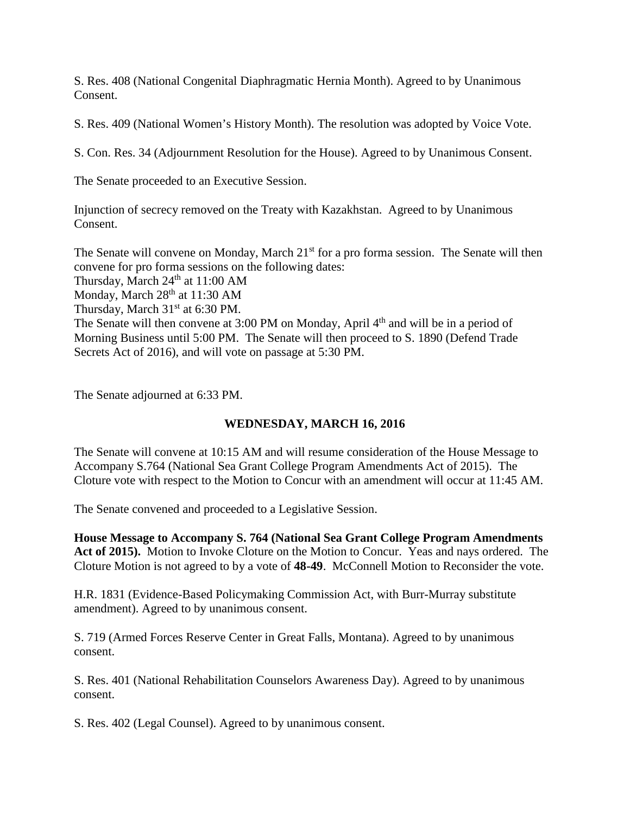S. Res. 408 (National Congenital Diaphragmatic Hernia Month). Agreed to by Unanimous Consent.

S. Res. 409 (National Women's History Month). The resolution was adopted by Voice Vote.

S. Con. Res. 34 (Adjournment Resolution for the House). Agreed to by Unanimous Consent.

The Senate proceeded to an Executive Session.

Injunction of secrecy removed on the Treaty with Kazakhstan. Agreed to by Unanimous Consent.

The Senate will convene on Monday, March 21<sup>st</sup> for a pro forma session. The Senate will then convene for pro forma sessions on the following dates: Thursday, March  $24<sup>th</sup>$  at 11:00 AM Monday, March 28<sup>th</sup> at 11:30 AM Thursday, March 31<sup>st</sup> at 6:30 PM. The Senate will then convene at 3:00 PM on Monday, April 4<sup>th</sup> and will be in a period of Morning Business until 5:00 PM. The Senate will then proceed to S. 1890 (Defend Trade Secrets Act of 2016), and will vote on passage at 5:30 PM.

The Senate adjourned at 6:33 PM.

#### **WEDNESDAY, MARCH 16, 2016**

The Senate will convene at 10:15 AM and will resume consideration of the House Message to Accompany S.764 (National Sea Grant College Program Amendments Act of 2015). The Cloture vote with respect to the Motion to Concur with an amendment will occur at 11:45 AM.

The Senate convened and proceeded to a Legislative Session.

**House Message to Accompany S. 764 (National Sea Grant College Program Amendments Act of 2015).** Motion to Invoke Cloture on the Motion to Concur. Yeas and nays ordered. The Cloture Motion is not agreed to by a vote of **48-49**. McConnell Motion to Reconsider the vote.

H.R. 1831 (Evidence-Based Policymaking Commission Act, with Burr-Murray substitute amendment). Agreed to by unanimous consent.

S. 719 (Armed Forces Reserve Center in Great Falls, Montana). Agreed to by unanimous consent.

S. Res. 401 (National Rehabilitation Counselors Awareness Day). Agreed to by unanimous consent.

S. Res. 402 (Legal Counsel). Agreed to by unanimous consent.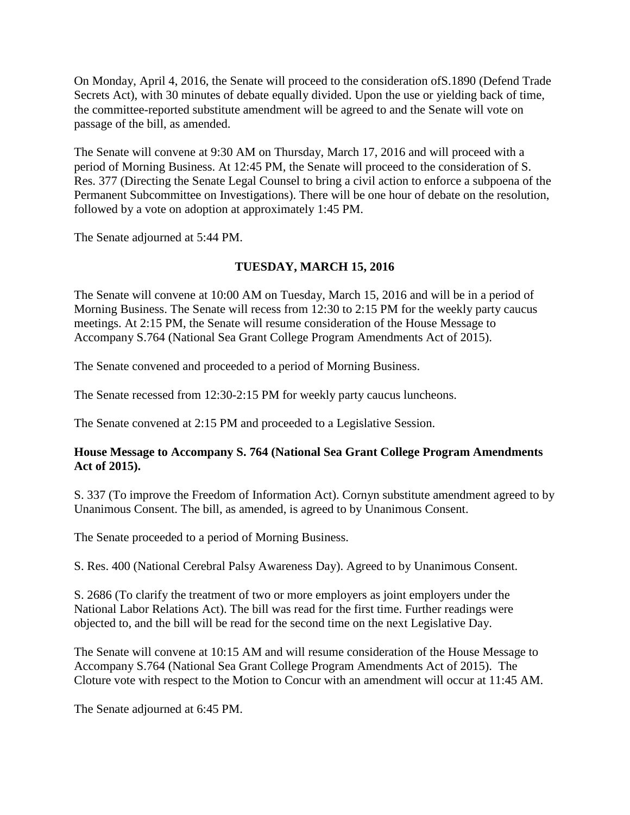On Monday, April 4, 2016, the Senate will proceed to the consideration ofS.1890 (Defend Trade Secrets Act), with 30 minutes of debate equally divided. Upon the use or yielding back of time, the committee-reported substitute amendment will be agreed to and the Senate will vote on passage of the bill, as amended.

The Senate will convene at 9:30 AM on Thursday, March 17, 2016 and will proceed with a period of Morning Business. At 12:45 PM, the Senate will proceed to the consideration of S. Res. 377 (Directing the Senate Legal Counsel to bring a civil action to enforce a subpoena of the Permanent Subcommittee on Investigations). There will be one hour of debate on the resolution, followed by a vote on adoption at approximately 1:45 PM.

The Senate adjourned at 5:44 PM.

# **TUESDAY, MARCH 15, 2016**

The Senate will convene at 10:00 AM on Tuesday, March 15, 2016 and will be in a period of Morning Business. The Senate will recess from 12:30 to 2:15 PM for the weekly party caucus meetings. At 2:15 PM, the Senate will resume consideration of the House Message to Accompany S.764 (National Sea Grant College Program Amendments Act of 2015).

The Senate convened and proceeded to a period of Morning Business.

The Senate recessed from 12:30-2:15 PM for weekly party caucus luncheons.

The Senate convened at 2:15 PM and proceeded to a Legislative Session.

## **House Message to Accompany S. 764 (National Sea Grant College Program Amendments Act of 2015).**

S. 337 (To improve the Freedom of Information Act). Cornyn substitute amendment agreed to by Unanimous Consent. The bill, as amended, is agreed to by Unanimous Consent.

The Senate proceeded to a period of Morning Business.

S. Res. 400 (National Cerebral Palsy Awareness Day). Agreed to by Unanimous Consent.

S. 2686 (To clarify the treatment of two or more employers as joint employers under the National Labor Relations Act). The bill was read for the first time. Further readings were objected to, and the bill will be read for the second time on the next Legislative Day.

The Senate will convene at 10:15 AM and will resume consideration of the House Message to Accompany S.764 (National Sea Grant College Program Amendments Act of 2015). The Cloture vote with respect to the Motion to Concur with an amendment will occur at 11:45 AM.

The Senate adjourned at 6:45 PM.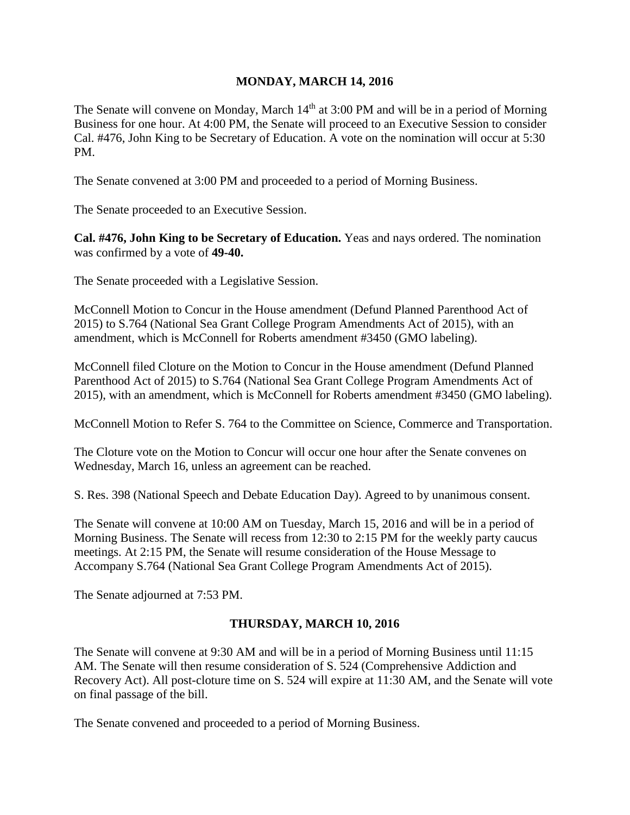#### **MONDAY, MARCH 14, 2016**

The Senate will convene on Monday, March 14<sup>th</sup> at 3:00 PM and will be in a period of Morning Business for one hour. At 4:00 PM, the Senate will proceed to an Executive Session to consider Cal. #476, John King to be Secretary of Education. A vote on the nomination will occur at 5:30 PM.

The Senate convened at 3:00 PM and proceeded to a period of Morning Business.

The Senate proceeded to an Executive Session.

**Cal. #476, John King to be Secretary of Education.** Yeas and nays ordered. The nomination was confirmed by a vote of **49-40.**

The Senate proceeded with a Legislative Session.

McConnell Motion to Concur in the House amendment (Defund Planned Parenthood Act of 2015) to S.764 (National Sea Grant College Program Amendments Act of 2015), with an amendment, which is McConnell for Roberts amendment #3450 (GMO labeling).

McConnell filed Cloture on the Motion to Concur in the House amendment (Defund Planned Parenthood Act of 2015) to S.764 (National Sea Grant College Program Amendments Act of 2015), with an amendment, which is McConnell for Roberts amendment #3450 (GMO labeling).

McConnell Motion to Refer S. 764 to the Committee on Science, Commerce and Transportation.

The Cloture vote on the Motion to Concur will occur one hour after the Senate convenes on Wednesday, March 16, unless an agreement can be reached.

S. Res. 398 (National Speech and Debate Education Day). Agreed to by unanimous consent.

The Senate will convene at 10:00 AM on Tuesday, March 15, 2016 and will be in a period of Morning Business. The Senate will recess from 12:30 to 2:15 PM for the weekly party caucus meetings. At 2:15 PM, the Senate will resume consideration of the House Message to Accompany S.764 (National Sea Grant College Program Amendments Act of 2015).

The Senate adjourned at 7:53 PM.

## **THURSDAY, MARCH 10, 2016**

The Senate will convene at 9:30 AM and will be in a period of Morning Business until 11:15 AM. The Senate will then resume consideration of S. 524 (Comprehensive Addiction and Recovery Act). All post-cloture time on S. 524 will expire at 11:30 AM, and the Senate will vote on final passage of the bill.

The Senate convened and proceeded to a period of Morning Business.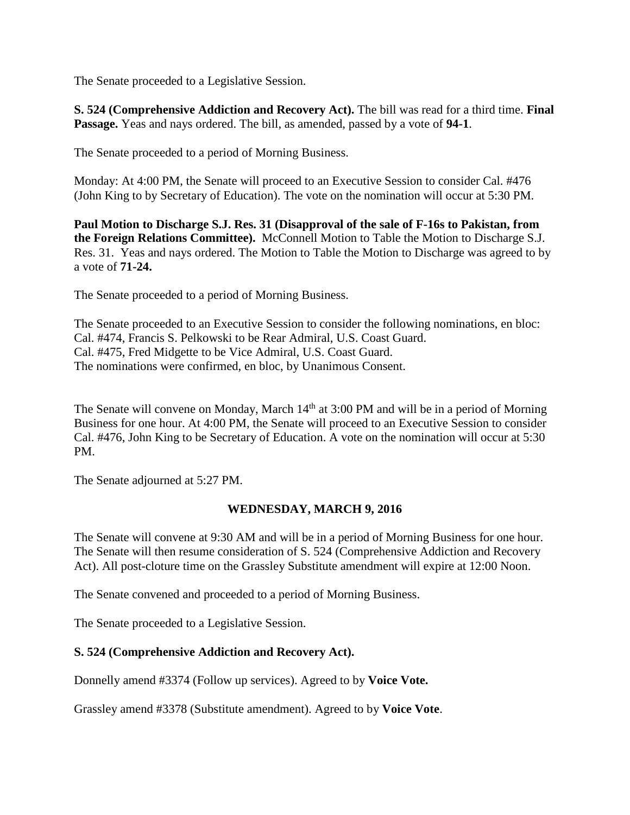The Senate proceeded to a Legislative Session.

**S. 524 (Comprehensive Addiction and Recovery Act).** The bill was read for a third time. **Final Passage.** Yeas and nays ordered. The bill, as amended, passed by a vote of **94-1**.

The Senate proceeded to a period of Morning Business.

Monday: At 4:00 PM, the Senate will proceed to an Executive Session to consider Cal. #476 (John King to by Secretary of Education). The vote on the nomination will occur at 5:30 PM.

**Paul Motion to Discharge S.J. Res. 31 (Disapproval of the sale of F-16s to Pakistan, from**  the Foreign Relations Committee). McConnell Motion to Table the Motion to Discharge S.J. Res. 31. Yeas and nays ordered. The Motion to Table the Motion to Discharge was agreed to by a vote of **71-24.**

The Senate proceeded to a period of Morning Business.

The Senate proceeded to an Executive Session to consider the following nominations, en bloc: Cal. #474, Francis S. Pelkowski to be Rear Admiral, U.S. Coast Guard. Cal. #475, Fred Midgette to be Vice Admiral, U.S. Coast Guard. The nominations were confirmed, en bloc, by Unanimous Consent.

The Senate will convene on Monday, March 14<sup>th</sup> at 3:00 PM and will be in a period of Morning Business for one hour. At 4:00 PM, the Senate will proceed to an Executive Session to consider Cal. #476, John King to be Secretary of Education. A vote on the nomination will occur at 5:30 PM.

The Senate adjourned at 5:27 PM.

## **WEDNESDAY, MARCH 9, 2016**

The Senate will convene at 9:30 AM and will be in a period of Morning Business for one hour. The Senate will then resume consideration of S. 524 (Comprehensive Addiction and Recovery Act). All post-cloture time on the Grassley Substitute amendment will expire at 12:00 Noon.

The Senate convened and proceeded to a period of Morning Business.

The Senate proceeded to a Legislative Session.

## **S. 524 (Comprehensive Addiction and Recovery Act).**

Donnelly amend #3374 (Follow up services). Agreed to by **Voice Vote.**

Grassley amend #3378 (Substitute amendment). Agreed to by **Voice Vote**.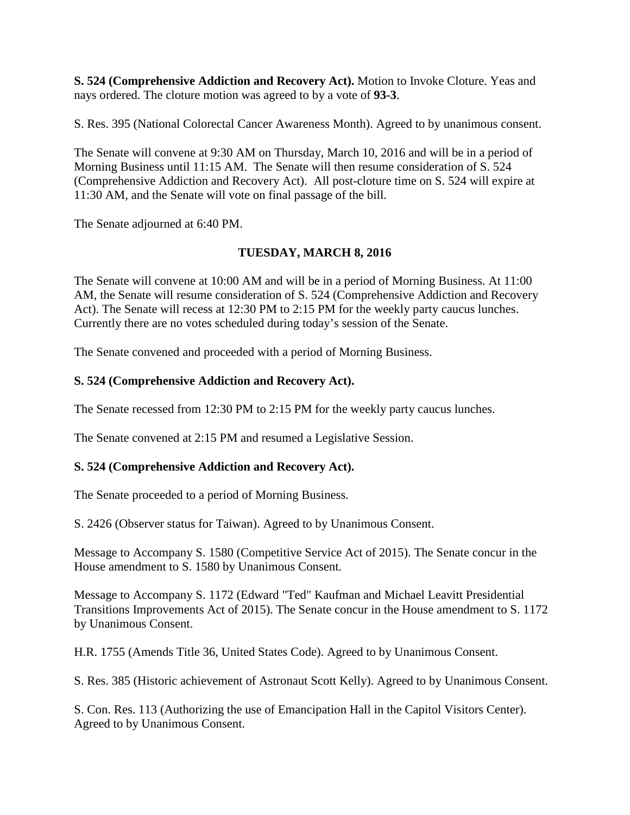**S. 524 (Comprehensive Addiction and Recovery Act).** Motion to Invoke Cloture. Yeas and nays ordered. The cloture motion was agreed to by a vote of **93-3**.

S. Res. 395 (National Colorectal Cancer Awareness Month). Agreed to by unanimous consent.

The Senate will convene at 9:30 AM on Thursday, March 10, 2016 and will be in a period of Morning Business until 11:15 AM. The Senate will then resume consideration of S. 524 (Comprehensive Addiction and Recovery Act). All post-cloture time on S. 524 will expire at 11:30 AM, and the Senate will vote on final passage of the bill.

The Senate adjourned at 6:40 PM.

## **TUESDAY, MARCH 8, 2016**

The Senate will convene at 10:00 AM and will be in a period of Morning Business. At 11:00 AM, the Senate will resume consideration of S. 524 (Comprehensive Addiction and Recovery Act). The Senate will recess at 12:30 PM to 2:15 PM for the weekly party caucus lunches. Currently there are no votes scheduled during today's session of the Senate.

The Senate convened and proceeded with a period of Morning Business.

## **S. 524 (Comprehensive Addiction and Recovery Act).**

The Senate recessed from 12:30 PM to 2:15 PM for the weekly party caucus lunches.

The Senate convened at 2:15 PM and resumed a Legislative Session.

## **S. 524 (Comprehensive Addiction and Recovery Act).**

The Senate proceeded to a period of Morning Business.

S. 2426 (Observer status for Taiwan). Agreed to by Unanimous Consent.

Message to Accompany S. 1580 (Competitive Service Act of 2015). The Senate concur in the House amendment to S. 1580 by Unanimous Consent.

Message to Accompany S. 1172 (Edward "Ted" Kaufman and Michael Leavitt Presidential Transitions Improvements Act of 2015). The Senate concur in the House amendment to S. 1172 by Unanimous Consent.

H.R. 1755 (Amends Title 36, United States Code). Agreed to by Unanimous Consent.

S. Res. 385 (Historic achievement of Astronaut Scott Kelly). Agreed to by Unanimous Consent.

S. Con. Res. 113 (Authorizing the use of Emancipation Hall in the Capitol Visitors Center). Agreed to by Unanimous Consent.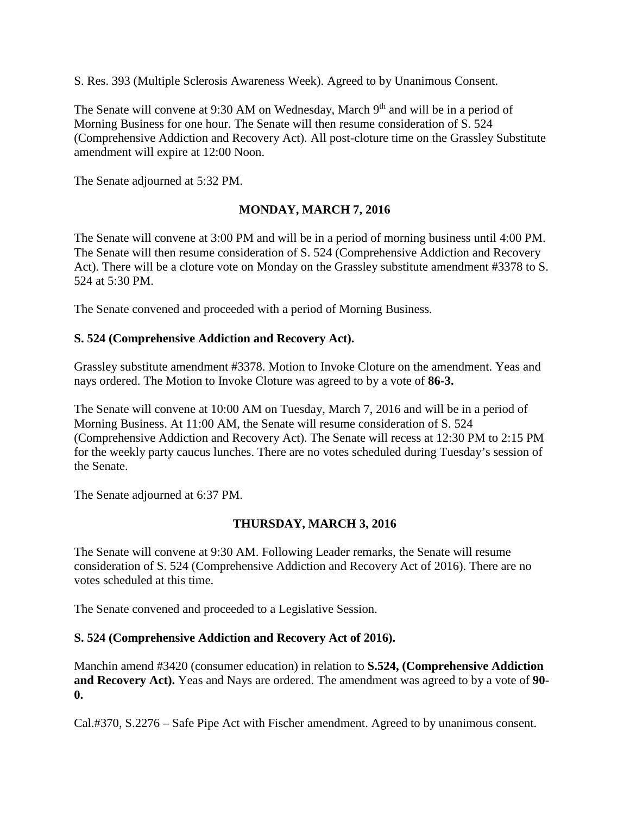S. Res. 393 (Multiple Sclerosis Awareness Week). Agreed to by Unanimous Consent.

The Senate will convene at 9:30 AM on Wednesday, March 9<sup>th</sup> and will be in a period of Morning Business for one hour. The Senate will then resume consideration of S. 524 (Comprehensive Addiction and Recovery Act). All post-cloture time on the Grassley Substitute amendment will expire at 12:00 Noon.

The Senate adjourned at 5:32 PM.

# **MONDAY, MARCH 7, 2016**

The Senate will convene at 3:00 PM and will be in a period of morning business until 4:00 PM. The Senate will then resume consideration of S. 524 (Comprehensive Addiction and Recovery Act). There will be a cloture vote on Monday on the Grassley substitute amendment #3378 to S. 524 at 5:30 PM.

The Senate convened and proceeded with a period of Morning Business.

#### **S. 524 (Comprehensive Addiction and Recovery Act).**

Grassley substitute amendment #3378. Motion to Invoke Cloture on the amendment. Yeas and nays ordered. The Motion to Invoke Cloture was agreed to by a vote of **86-3.**

The Senate will convene at 10:00 AM on Tuesday, March 7, 2016 and will be in a period of Morning Business. At 11:00 AM, the Senate will resume consideration of S. 524 (Comprehensive Addiction and Recovery Act). The Senate will recess at 12:30 PM to 2:15 PM for the weekly party caucus lunches. There are no votes scheduled during Tuesday's session of the Senate.

The Senate adjourned at 6:37 PM.

## **THURSDAY, MARCH 3, 2016**

The Senate will convene at 9:30 AM. Following Leader remarks, the Senate will resume consideration of S. 524 (Comprehensive Addiction and Recovery Act of 2016). There are no votes scheduled at this time.

The Senate convened and proceeded to a Legislative Session.

## **S. 524 (Comprehensive Addiction and Recovery Act of 2016).**

Manchin amend #3420 (consumer education) in relation to **S.524, (Comprehensive Addiction and Recovery Act).** Yeas and Nays are ordered. The amendment was agreed to by a vote of **90- 0.**

Cal.#370, S.2276 – Safe Pipe Act with Fischer amendment. Agreed to by unanimous consent.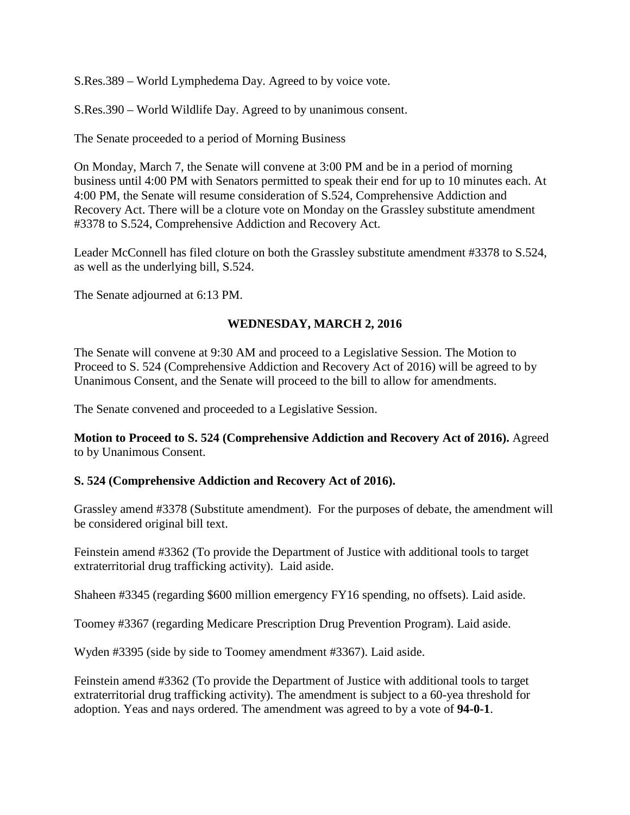S.Res.389 – World Lymphedema Day. Agreed to by voice vote.

S.Res.390 – World Wildlife Day. Agreed to by unanimous consent.

The Senate proceeded to a period of Morning Business

On Monday, March 7, the Senate will convene at 3:00 PM and be in a period of morning business until 4:00 PM with Senators permitted to speak their end for up to 10 minutes each. At 4:00 PM, the Senate will resume consideration of S.524, Comprehensive Addiction and Recovery Act. There will be a cloture vote on Monday on the Grassley substitute amendment #3378 to S.524, Comprehensive Addiction and Recovery Act.

Leader McConnell has filed cloture on both the Grassley substitute amendment #3378 to S.524, as well as the underlying bill, S.524.

The Senate adjourned at 6:13 PM.

## **WEDNESDAY, MARCH 2, 2016**

The Senate will convene at 9:30 AM and proceed to a Legislative Session. The Motion to Proceed to S. 524 (Comprehensive Addiction and Recovery Act of 2016) will be agreed to by Unanimous Consent, and the Senate will proceed to the bill to allow for amendments.

The Senate convened and proceeded to a Legislative Session.

**Motion to Proceed to S. 524 (Comprehensive Addiction and Recovery Act of 2016).** Agreed to by Unanimous Consent.

## **S. 524 (Comprehensive Addiction and Recovery Act of 2016).**

Grassley amend #3378 (Substitute amendment). For the purposes of debate, the amendment will be considered original bill text.

Feinstein amend #3362 (To provide the Department of Justice with additional tools to target extraterritorial drug trafficking activity). Laid aside.

Shaheen #3345 (regarding \$600 million emergency FY16 spending, no offsets). Laid aside.

Toomey #3367 (regarding Medicare Prescription Drug Prevention Program). Laid aside.

Wyden #3395 (side by side to Toomey amendment #3367). Laid aside.

Feinstein amend #3362 (To provide the Department of Justice with additional tools to target extraterritorial drug trafficking activity). The amendment is subject to a 60-yea threshold for adoption. Yeas and nays ordered. The amendment was agreed to by a vote of **94-0-1**.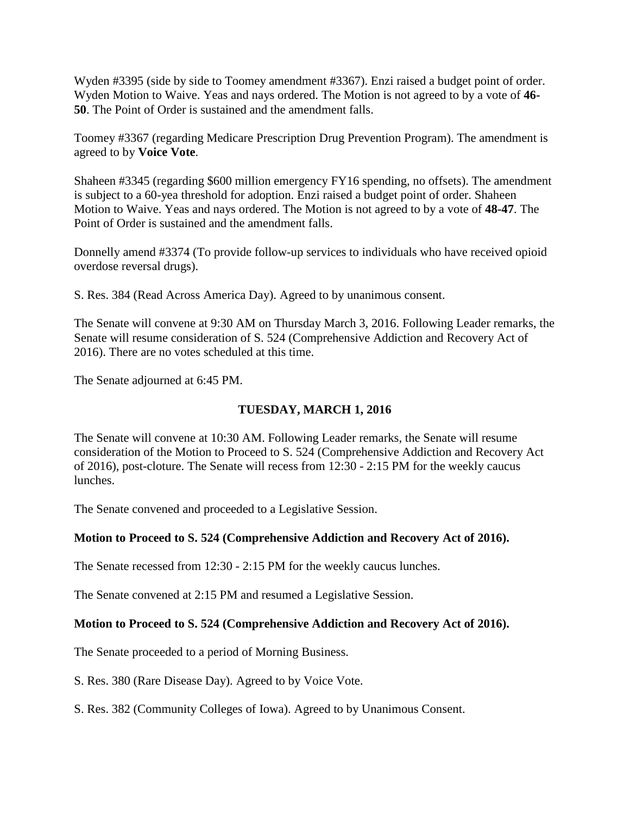Wyden #3395 (side by side to Toomey amendment #3367). Enzi raised a budget point of order. Wyden Motion to Waive. Yeas and nays ordered. The Motion is not agreed to by a vote of **46- 50**. The Point of Order is sustained and the amendment falls.

Toomey #3367 (regarding Medicare Prescription Drug Prevention Program). The amendment is agreed to by **Voice Vote**.

Shaheen #3345 (regarding \$600 million emergency FY16 spending, no offsets). The amendment is subject to a 60-yea threshold for adoption. Enzi raised a budget point of order. Shaheen Motion to Waive. Yeas and nays ordered. The Motion is not agreed to by a vote of **48-47**. The Point of Order is sustained and the amendment falls.

Donnelly amend #3374 (To provide follow-up services to individuals who have received opioid overdose reversal drugs).

S. Res. 384 (Read Across America Day). Agreed to by unanimous consent.

The Senate will convene at 9:30 AM on Thursday March 3, 2016. Following Leader remarks, the Senate will resume consideration of S. 524 (Comprehensive Addiction and Recovery Act of 2016). There are no votes scheduled at this time.

The Senate adjourned at 6:45 PM.

# **TUESDAY, MARCH 1, 2016**

The Senate will convene at 10:30 AM. Following Leader remarks, the Senate will resume consideration of the Motion to Proceed to S. 524 (Comprehensive Addiction and Recovery Act of 2016), post-cloture. The Senate will recess from 12:30 - 2:15 PM for the weekly caucus lunches.

The Senate convened and proceeded to a Legislative Session.

## **Motion to Proceed to S. 524 (Comprehensive Addiction and Recovery Act of 2016).**

The Senate recessed from 12:30 - 2:15 PM for the weekly caucus lunches.

The Senate convened at 2:15 PM and resumed a Legislative Session.

## **Motion to Proceed to S. 524 (Comprehensive Addiction and Recovery Act of 2016).**

The Senate proceeded to a period of Morning Business.

S. Res. 380 (Rare Disease Day). Agreed to by Voice Vote.

S. Res. 382 (Community Colleges of Iowa). Agreed to by Unanimous Consent.